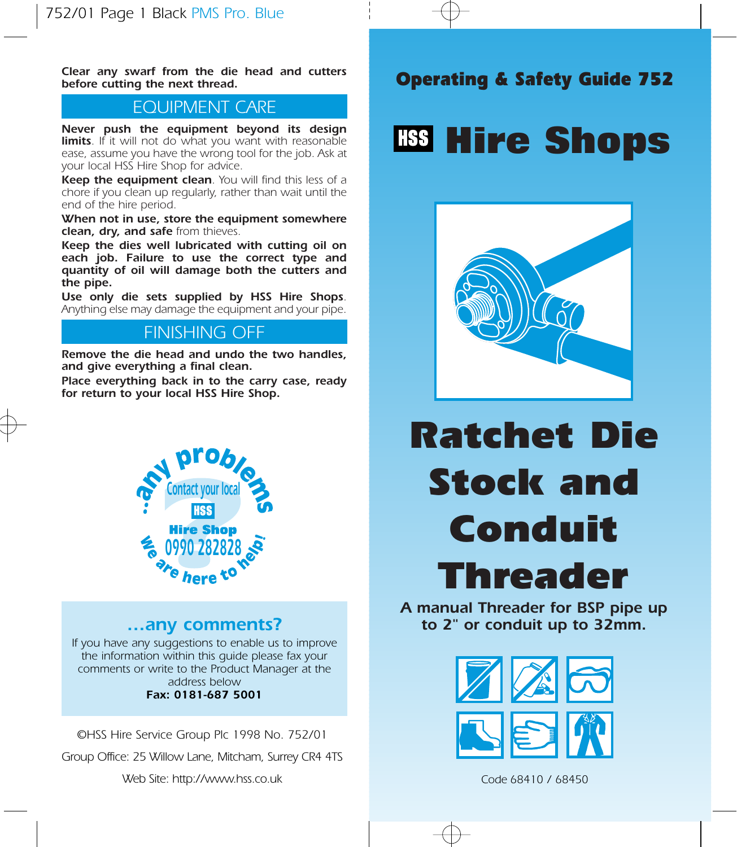Clear any swarf from the die head and cutters<br>before cutting the next thread. before cutting the next thread.

## EQUIPMENT CARE

Never push the equipment beyond its design limits. If it will not do what you want with reasonable ease, assume you have the wrong tool for the job. Ask at your local HSS Hire Shop for advice.

Keep the equipment clean. You will find this less of a chore if you clean up regularly, rather than wait until the end of the hire period.

When not in use, store the equipment somewhere clean, dry, and safe from thieves.

Keep the dies well lubricated with cutting oil on each job. Failure to use the correct type and quantity of oil will damage both the cutters and the pipe.

Use only die sets supplied by HSS Hire Shops. Anything else may damage the equipment and your pipe.

# FINISHING OFF

Remove the die head and undo the two handles, and give everything a final clean.

Place everything back in to the carry case, ready for return to your local HSS Hire Shop.



### …any comments?

If you have any suggestions to enable us to improve the information within this guide please fax your comments or write to the Product Manager at the address below Fax: 0181-687 5001

©HSS Hire Service Group Plc 1998 No. 752/01

Group Office: 25 Willow Lane, Mitcham, Surrey CR4 4TS

Web Site: http://www.hss.co.uk

# **Hire Shops**



# Ratchet Die Stock and Conduit Threader

A manual Threader for BSP pipe up to 2" or conduit up to 32mm.



Code 68410 / 68450